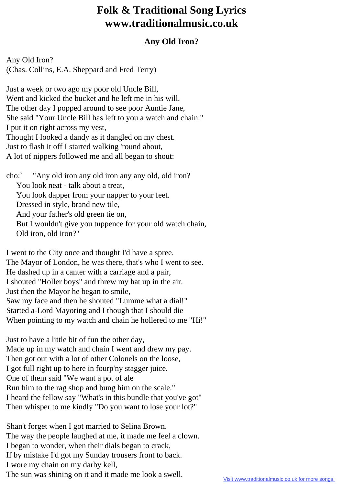## **Folk & Traditional Song Lyrics www.traditionalmusic.co.uk**

## **Any Old Iron?**

Any Old Iron? (Chas. Collins, E.A. Sheppard and Fred Terry)

Just a week or two ago my poor old Uncle Bill, Went and kicked the bucket and he left me in his will. The other day I popped around to see poor Auntie Jane, She said "Your Uncle Bill has left to you a watch and chain." I put it on right across my vest, Thought I looked a dandy as it dangled on my chest. Just to flash it off I started walking 'round about, A lot of nippers followed me and all began to shout:

cho:` "Any old iron any old iron any any old, old iron? You look neat - talk about a treat, You look dapper from your napper to your feet. Dressed in style, brand new tile, And your father's old green tie on, But I wouldn't give you tuppence for your old watch chain, Old iron, old iron?"

I went to the City once and thought I'd have a spree. The Mayor of London, he was there, that's who I went to see. He dashed up in a canter with a carriage and a pair, I shouted "Holler boys" and threw my hat up in the air. Just then the Mayor he began to smile, Saw my face and then he shouted "Lumme what a dial!" Started a-Lord Mayoring and I though that I should die When pointing to my watch and chain he hollered to me "Hi!"

Just to have a little bit of fun the other day, Made up in my watch and chain I went and drew my pay. Then got out with a lot of other Colonels on the loose, I got full right up to here in fourp'ny stagger juice. One of them said "We want a pot of ale Run him to the rag shop and bung him on the scale." I heard the fellow say "What's in this bundle that you've got" Then whisper to me kindly "Do you want to lose your lot?"

Shan't forget when I got married to Selina Brown. The way the people laughed at me, it made me feel a clown. I began to wonder, when their dials began to crack, If by mistake I'd got my Sunday trousers front to back. I wore my chain on my darby kell, The sun was shining on it and it made me look a swell.